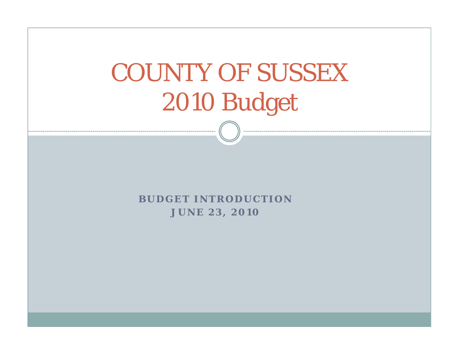# COUNTY OF SUSSEX 2010 Budget

**BUDGET INTRODUCTIONJUNE 23, 2010**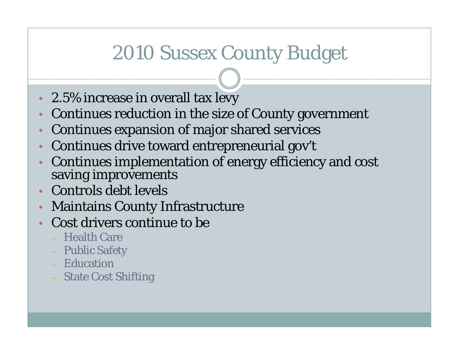### 2010 Sussex County Budget

- 2.5% increase in overall tax levy
- $\bullet$ • Continues reduction in the size of County government
- •Continues expansion of major shared services
- $\bullet$ Continues drive toward entrepreneurial gov't
- $\bullet$  Continues implementation of energy efficiency and cost saving improvements
- Controls debt levels
- $\bullet$ Maintains County Infrastructure
- • Cost drivers continue to be
	- Health Care
	- Public Safety
	- Education
	- State Cost Shifting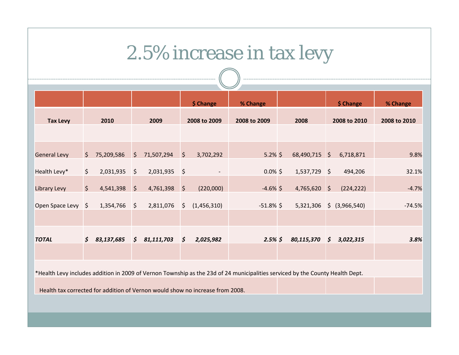### 2.5% increase in tax levy

|                     |         |            |                    |            |                | \$ Change    | % Change                                                                                                                      |                |                | \$ Change      | % Change     |
|---------------------|---------|------------|--------------------|------------|----------------|--------------|-------------------------------------------------------------------------------------------------------------------------------|----------------|----------------|----------------|--------------|
| <b>Tax Levy</b>     |         | 2010       |                    | 2009       |                | 2008 to 2009 | 2008 to 2009                                                                                                                  | 2008           |                | 2008 to 2010   | 2008 to 2010 |
|                     |         |            |                    |            |                |              |                                                                                                                               |                |                |                |              |
| <b>General Levy</b> | S.      | 75,209,586 | $\zeta$            | 71,507,294 | $\ddot{\zeta}$ | 3,702,292    | $5.2\%$ \$                                                                                                                    | 68,490,715 \$  |                | 6,718,871      | 9.8%         |
| Health Levy*        | $\zeta$ | 2,031,935  | \$                 | 2,031,935  | $\vert$ \$     |              | $0.0\%$ \$                                                                                                                    | $1,537,729$ \$ |                | 494,206        | 32.1%        |
| Library Levy        | $\zeta$ | 4,541,398  | $\ddot{\varsigma}$ | 4,761,398  | $\sqrt{5}$     | (220,000)    | $-4.6\%$ \$                                                                                                                   | $4,765,620$ \$ |                | (224, 222)     | $-4.7%$      |
| Open Space Levy \$  |         | 1,354,766  | $\zeta$            | 2,811,076  | $\sqrt{5}$     | (1,456,310)  | $-51.8\%$ \$                                                                                                                  | 5,321,306      |                | \$ (3,966,540) | $-74.5%$     |
|                     |         |            |                    |            |                |              |                                                                                                                               |                |                |                |              |
| <b>TOTAL</b>        |         | 83,137,685 | \$                 | 81,111,703 | $\sqrt{5}$     | 2,025,982    | $2.5\%$ \$                                                                                                                    | 80,115,370     | $\mathfrak{s}$ | 3,022,315      | 3.8%         |
|                     |         |            |                    |            |                |              |                                                                                                                               |                |                |                |              |
|                     |         |            |                    |            |                |              | *Health Levy includes addition in 2009 of Vernon Township as the 23d of 24 municipalities serviced by the County Health Dept. |                |                |                |              |
|                     |         |            |                    |            |                |              |                                                                                                                               |                |                |                |              |

Health tax corrected for addition of Vernon would show no increase from 2008.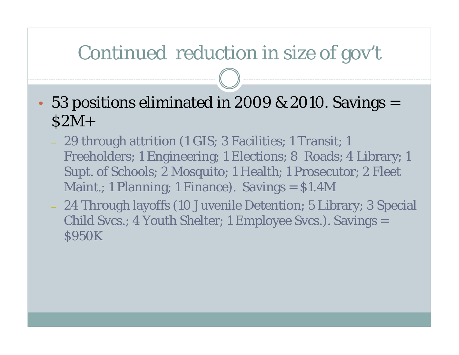### Continued reduction in size of gov't

- •• 53 positions eliminated in 2009 & 2010. Savings  $=$ \$2M+
	- 29 through attrition (1 GIS; 3 Facilities; 1 Transit; 1 Freeholders; 1 Engineering; 1 Elections; 8 Roads; 4 Library; 1 Supt. of Schools; 2 Mosquito; 1 Health; 1 Prosecutor; 2 Fleet Maint.; 1 Planning; 1 Finance). Savings = \$1.4M
	- 24 Through layoffs (10 Juvenile Detention; 5 Library; 3 Special Child Svcs.; 4 Youth Shelter; 1 Employee Svcs.). Savings = **S950K**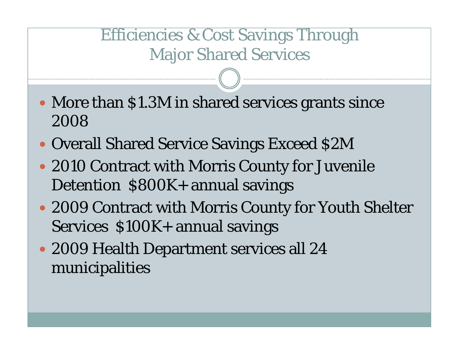#### Efficiencies & Cost Savings Through Major Shared Services

- More than \$1.3M in shared services grants since 2008
- Overall Shared Service Savings Exceed \$2M
- 2010 Contract with Morris County for Juvenile Detention \$800K+ annual savings
- 2009 Contract with Morris County for Youth Shelter Services \$100K+ annual savings
- 2009 Health Department services all 24 municipalities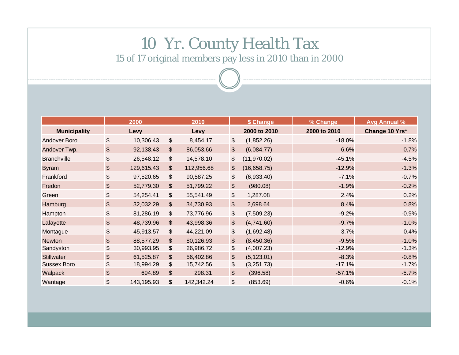#### 10 Yr. County Health Tax

15 of 17 original members pay less in 2010 than in 2000

|                     |       | 2000       |                         | 2010       | \$ Change     |              | % Change     | <b>Avg Annual %</b> |
|---------------------|-------|------------|-------------------------|------------|---------------|--------------|--------------|---------------------|
| <b>Municipality</b> |       | Levy       |                         | Levy       |               | 2000 to 2010 | 2000 to 2010 | Change 10 Yrs*      |
| <b>Andover Boro</b> | \$    | 10,306.43  | $\mathfrak{S}$          | 8,454.17   | \$            | (1,852.26)   | $-18.0%$     | $-1.8%$             |
| Andover Twp.        | \$    | 92,138.43  | $\mathfrak{S}$          | 86,053.66  | $\frac{1}{2}$ | (6,084.77)   | $-6.6%$      | $-0.7%$             |
| <b>Branchville</b>  | \$    | 26,548.12  | $\$\$                   | 14,578.10  | \$            | (11, 970.02) | $-45.1%$     | $-4.5%$             |
| <b>Byram</b>        | \$    | 129,615.43 | $\sqrt[6]{\frac{1}{2}}$ | 112,956.68 | \$            | (16,658.75)  | $-12.9%$     | $-1.3%$             |
| Frankford           | \$    | 97,520.65  | $\$\$                   | 90,587.25  | \$            | (6,933.40)   | $-7.1%$      | $-0.7%$             |
| Fredon              | \$    | 52,779.30  | $\sqrt[6]{\frac{1}{2}}$ | 51,799.22  | \$            | (980.08)     | $-1.9%$      | $-0.2%$             |
| Green               | \$    | 54,254.41  | $\sqrt[6]{\frac{1}{2}}$ | 55,541.49  | \$            | 1,287.08     | 2.4%         | 0.2%                |
| Hamburg             | \$    | 32,032.29  | $\mathfrak{F}$          | 34,730.93  | $\frac{1}{2}$ | 2,698.64     | 8.4%         | 0.8%                |
| Hampton             | \$    | 81,286.19  | $\sqrt[6]{\frac{1}{2}}$ | 73,776.96  | \$            | (7,509.23)   | $-9.2%$      | $-0.9%$             |
| Lafayette           | $\$\$ | 48,739.96  | $\mathfrak{S}$          | 43,998.36  | $\frac{1}{2}$ | (4,741.60)   | $-9.7%$      | $-1.0%$             |
| Montague            | \$    | 45,913.57  | $\$\$                   | 44,221.09  | \$            | (1,692.48)   | $-3.7%$      | $-0.4%$             |
| <b>Newton</b>       | \$    | 88,577.29  | $\mathfrak{S}$          | 80,126.93  | $\frac{1}{2}$ | (8,450.36)   | $-9.5%$      | $-1.0%$             |
| Sandyston           | \$    | 30,993.95  | $\$\$                   | 26,986.72  | \$            | (4,007.23)   | $-12.9%$     | $-1.3%$             |
| <b>Stillwater</b>   | \$    | 61,525.87  | $\mathfrak{S}$          | 56,402.86  | $\frac{1}{2}$ | (5, 123.01)  | $-8.3%$      | $-0.8%$             |
| <b>Sussex Boro</b>  | \$    | 18,994.29  | $\frac{1}{2}$           | 15,742.56  | \$            | (3,251.73)   | $-17.1%$     | $-1.7%$             |
| Walpack             | \$    | 694.89     | $\boldsymbol{\theta}$   | 298.31     | \$            | (396.58)     | $-57.1%$     | $-5.7%$             |
| Wantage             | \$    | 143,195.93 | $\$\$                   | 142,342.24 | \$            | (853.69)     | $-0.6%$      | $-0.1%$             |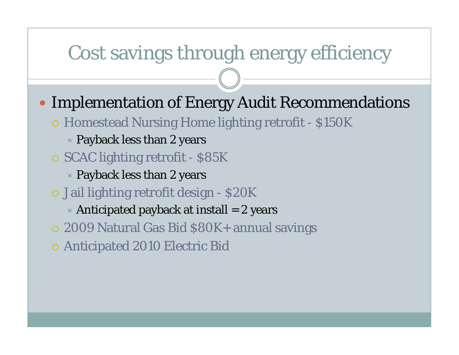### Cost savings through energy efficiency

- Implementation of Energy Audit Recommendations
	- { Homestead Nursing Home lighting retrofit \$150K
		- $\times$  Payback less than 2 years
	- o SCAC lighting retrofit \$85K
		- $\ast$  Payback less than 2 years
	- o Jail lighting retrofit design \$20K
		- $\triangleright$  Anticipated payback at install = 2 years
	- { 2009 Natural Gas Bid \$80K+ annual savings
	- { Anticipated 2010 Electric Bid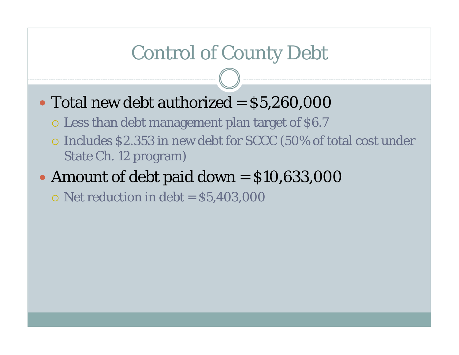### Control of County Debt

- Total new debt authorized  $=$   $$5,260,000$ 
	- { Less than debt management plan target of \$6.7
	- { Includes \$2.353 in new debt for SCCC (50% of total cost under State Ch. 12 program)
- y Amount of debt paid down = \$10,633,000
	- $\circ$  Net reduction in debt = \$5,403,000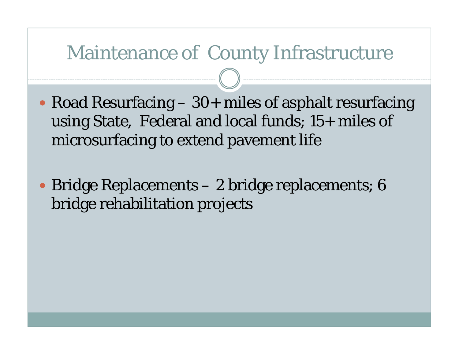#### Maintenance of County Infrastructure

- Road Resurfacing  $-30+$  miles of asphalt resurfacing using State, Federal and local funds; 15+ miles of microsurfacing to extend pavement life
- y Bridge Replacements 2 bridge replacements; 6 bridge rehabilitation projects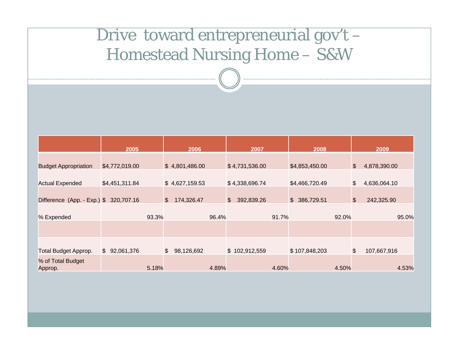#### Drive toward entrepreneurial gov't -Homestead Nursing Home – S&W

|                                        | 2005           |       | 2006                                    |       | 2007                         |       | 2008           |       |               | 2009         |
|----------------------------------------|----------------|-------|-----------------------------------------|-------|------------------------------|-------|----------------|-------|---------------|--------------|
|                                        |                |       |                                         |       |                              |       |                |       |               |              |
| <b>Budget Appropriation</b>            | \$4,772,019.00 |       | \$4,801,486.00                          |       | \$4,731,536.00               |       | \$4,853,450.00 |       | $\$\$         | 4,878,390.00 |
| <b>Actual Expended</b>                 | \$4,451,311.84 |       | \$4,627,159.53                          |       | \$4,338,696.74               |       | \$4,466,720.49 |       | \$            | 4,636,064.10 |
| Difference (App. - Exp.) \$ 320,707.16 |                |       | $\boldsymbol{\mathsf{S}}$<br>174,326.47 |       | $\mathfrak{S}$<br>392,839.26 |       | \$ 386,729.51  |       | $\frac{1}{2}$ | 242,325.90   |
| % Expended                             |                | 93.3% |                                         | 96.4% |                              | 91.7% |                | 92.0% |               | 95.0%        |
|                                        |                |       |                                         |       |                              |       |                |       |               |              |
| <b>Total Budget Approp.</b>            | \$92,061,376   |       | $\mathfrak{S}$<br>98,126,692            |       | \$102,912,559                |       | \$107,848,203  |       | \$            | 107,667,916  |
| % of Total Budget<br>Approp.           |                | 5.18% |                                         | 4.89% |                              | 4.60% |                | 4.50% |               | 4.53%        |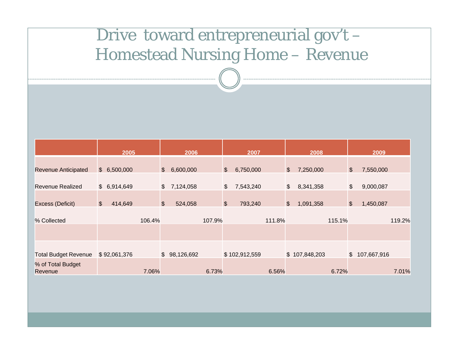#### Drive toward entrepreneurial gov't -Homestead Nursing Home – Revenue

|                              | 2005                     |                       | 2006         |        |               | 2007          |        |               | 2008          |        |                       | 2009          |        |
|------------------------------|--------------------------|-----------------------|--------------|--------|---------------|---------------|--------|---------------|---------------|--------|-----------------------|---------------|--------|
| <b>Revenue Anticipated</b>   | \$6,500,000              | $\sqrt{2}$            | 6,600,000    |        | $\frac{1}{2}$ | 6,750,000     |        | \$            | 7,250,000     |        | $\boldsymbol{\theta}$ | 7,550,000     |        |
|                              |                          |                       |              |        |               |               |        |               |               |        |                       |               |        |
| <b>Revenue Realized</b>      | \$6,914,649              | $\frac{1}{2}$         | 7,124,058    |        | \$            | 7,543,240     |        | $\frac{1}{2}$ | 8,341,358     |        | \$                    | 9,000,087     |        |
| Excess (Deficit)             | $\frac{1}{2}$<br>414,649 | $\boldsymbol{\theta}$ | 524,058      |        | $\frac{1}{2}$ | 793,240       |        | \$            | 1,091,358     |        | \$                    | 1,450,087     |        |
|                              |                          |                       |              |        |               |               |        |               |               |        |                       |               |        |
| % Collected                  |                          | 106.4%                |              | 107.9% |               |               | 111.8% |               |               | 115.1% |                       |               | 119.2% |
|                              |                          |                       |              |        |               |               |        |               |               |        |                       |               |        |
|                              |                          |                       |              |        |               |               |        |               |               |        |                       |               |        |
| <b>Total Budget Revenue</b>  | \$92,061,376             |                       | \$98,126,692 |        |               | \$102,912,559 |        |               | \$107,848,203 |        |                       | \$107,667,916 |        |
| % of Total Budget<br>Revenue |                          | 7.06%                 |              | 6.73%  |               |               | 6.56%  |               |               | 6.72%  |                       |               | 7.01%  |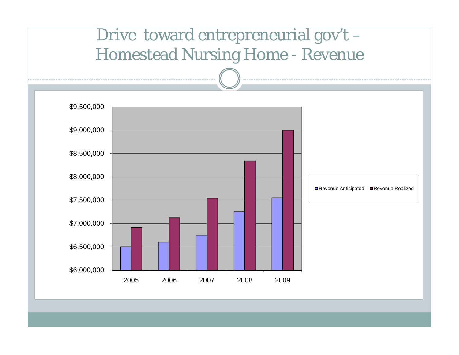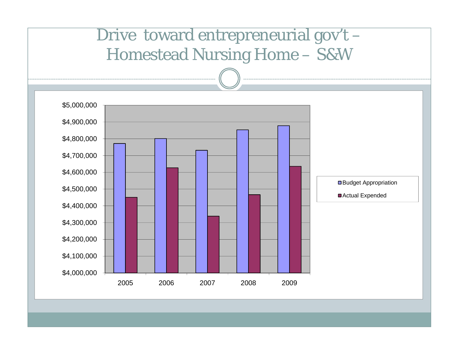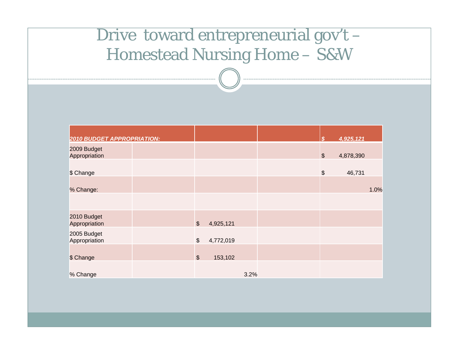#### Drive toward entrepreneurial gov't -Homestead Nursing Home – S&W

| <b>2010 BUDGET APPROPRIATION:</b> |                            |           |      | \$.                                           | 4,925,121 |      |
|-----------------------------------|----------------------------|-----------|------|-----------------------------------------------|-----------|------|
| 2009 Budget<br>Appropriation      |                            |           |      | $\boldsymbol{\$}$                             | 4,878,390 |      |
| \$ Change                         |                            |           |      | $\, \, \raisebox{12pt}{$\scriptstyle \circ$}$ | 46,731    |      |
| % Change:                         |                            |           |      |                                               |           | 1.0% |
|                                   |                            |           |      |                                               |           |      |
| 2010 Budget<br>Appropriation      | $\boldsymbol{\theta}$      | 4,925,121 |      |                                               |           |      |
| 2005 Budget<br>Appropriation      | $\boldsymbol{\mathsf{\$}}$ | 4,772,019 |      |                                               |           |      |
| \$ Change                         | $\boldsymbol{\$}$          | 153,102   |      |                                               |           |      |
| % Change                          |                            |           | 3.2% |                                               |           |      |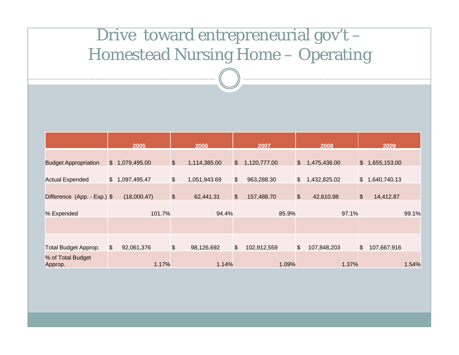#### Drive toward entrepreneurial gov't -Homestead Nursing Home – Operating

|                              |                | 2005           | 2006                      |              |                | 2007         | 2008          |              |                  | 2009         |       |
|------------------------------|----------------|----------------|---------------------------|--------------|----------------|--------------|---------------|--------------|------------------|--------------|-------|
|                              |                |                |                           |              |                |              |               |              |                  |              |       |
| <b>Budget Appropriation</b>  |                | \$1,079,495.00 | $\boldsymbol{\mathsf{S}}$ | 1,114,385.00 | $\mathfrak{S}$ | 1,120,777.00 | $\sqrt[6]{2}$ | 1,475,436.00 | $\mathcal{S}$    | 1,655,153.00 |       |
|                              |                |                |                           |              |                |              |               |              |                  |              |       |
| <b>Actual Expended</b>       | $\mathbb{S}$   | 1,097,495.47   | \$                        | 1,051,943.69 | \$             | 963,288.30   | $\frac{1}{2}$ | 1,432,825.02 | $\mathfrak{S}$   | 1,640,740.13 |       |
| Difference (App. - Exp.) \$  |                | (18,000.47)    | $\boldsymbol{\mathsf{S}}$ | 62,441.31    | $\frac{1}{2}$  | 157,488.70   | $\$\$         | 42,610.98    | $$\mathfrak{F}$$ | 14,412.87    |       |
| % Expended                   |                | 101.7%         |                           | 94.4%        |                | 85.9%        |               | 97.1%        |                  |              | 99.1% |
|                              |                |                |                           |              |                |              |               |              |                  |              |       |
|                              |                |                |                           |              |                |              |               |              |                  |              |       |
| <b>Total Budget Approp.</b>  | $\mathfrak{S}$ | 92,061,376     | \$                        | 98,126,692   | \$             | 102,912,559  | \$            | 107,848,203  | $\frac{1}{2}$    | 107,667,916  |       |
| % of Total Budget<br>Approp. |                | 1.17%          |                           | 1.14%        |                | 1.09%        |               | 1.37%        |                  |              | 1.54% |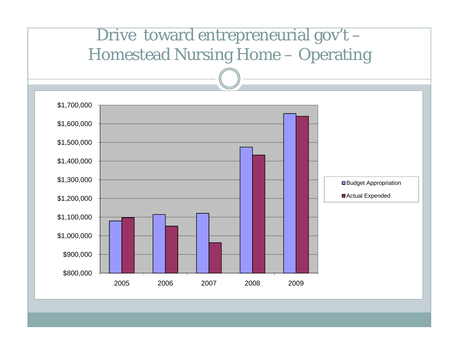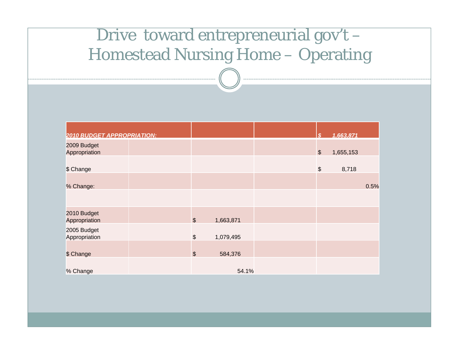#### Drive toward entrepreneurial gov't -Homestead Nursing Home – Operating

| <b>2010 BUDGET APPROPRIATION:</b> |                       |           | \$                    | 1,663,871 |      |
|-----------------------------------|-----------------------|-----------|-----------------------|-----------|------|
| 2009 Budget<br>Appropriation      |                       |           | $\boldsymbol{\theta}$ | 1,655,153 |      |
| \$ Change                         |                       |           | $\boldsymbol{\$}$     | 8,718     |      |
| % Change:                         |                       |           |                       |           | 0.5% |
|                                   |                       |           |                       |           |      |
| 2010 Budget<br>Appropriation      | $\boldsymbol{\theta}$ | 1,663,871 |                       |           |      |
| 2005 Budget<br>Appropriation      | $\boldsymbol{\theta}$ | 1,079,495 |                       |           |      |
| \$ Change                         | $\frac{1}{2}$         | 584,376   |                       |           |      |
| % Change                          |                       | 54.1%     |                       |           |      |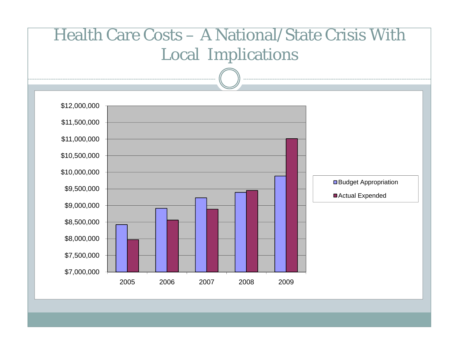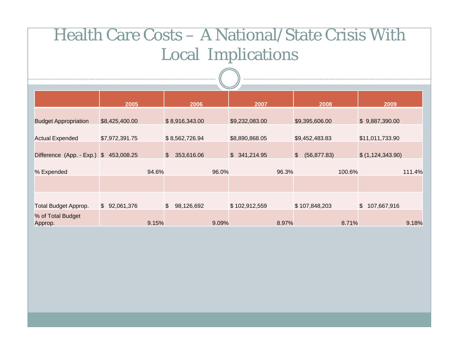|                              |                |               |                |       | $\overline{\phantom{a}}$ |       |                               |        |                              |        |
|------------------------------|----------------|---------------|----------------|-------|--------------------------|-------|-------------------------------|--------|------------------------------|--------|
|                              | 2005           |               | 2006           |       | 2007                     |       | 2008                          |        | 2009                         |        |
| <b>Budget Appropriation</b>  | \$8,425,400.00 |               | \$8,916,343.00 |       | \$9,232,083.00           |       | \$9,395,606.00                |        | \$9,887,390.00               |        |
| <b>Actual Expended</b>       | \$7,972,391.75 |               | \$8,562,726.94 |       | \$8,890,868.05           |       | \$9,452,483.83                |        | \$11,011,733.90              |        |
| Difference (App. - Exp.) \$  | 453,008.25     | $\frac{2}{3}$ | 353,616.06     |       | \$341,214.95             |       | $\frac{2}{3}$<br>(56, 877.83) |        | \$(1,124,343.90)             |        |
| % Expended                   |                | 94.6%         |                | 96.0% |                          | 96.3% |                               | 100.6% |                              | 111.4% |
|                              |                |               |                |       |                          |       |                               |        |                              |        |
| <b>Total Budget Approp.</b>  | \$92,061,376   | $\frac{1}{2}$ | 98,126,692     |       | \$102,912,559            |       | \$107,848,203                 |        | $\frac{1}{2}$<br>107,667,916 |        |
| % of Total Budget<br>Approp. |                | 9.15%         |                | 9.09% |                          | 8.97% |                               | 8.71%  |                              | 9.18%  |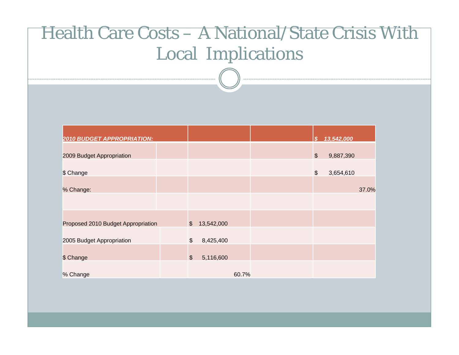| <b>2010 BUDGET APPROPRIATION:</b>  |                           |            |       | $\mathbf{s}$  | 13,542,000 |       |
|------------------------------------|---------------------------|------------|-------|---------------|------------|-------|
|                                    |                           |            |       |               |            |       |
| 2009 Budget Appropriation          |                           |            |       | $\frac{1}{2}$ | 9,887,390  |       |
|                                    |                           |            |       |               |            |       |
| \$ Change                          |                           |            |       | \$            | 3,654,610  |       |
|                                    |                           |            |       |               |            |       |
| % Change:                          |                           |            |       |               |            | 37.0% |
|                                    |                           |            |       |               |            |       |
|                                    |                           |            |       |               |            |       |
|                                    |                           |            |       |               |            |       |
| Proposed 2010 Budget Appropriation | $\frac{1}{2}$             | 13,542,000 |       |               |            |       |
|                                    |                           |            |       |               |            |       |
| 2005 Budget Appropriation          | $$\mathfrak{F}$$          | 8,425,400  |       |               |            |       |
|                                    |                           |            |       |               |            |       |
| \$ Change                          | $\boldsymbol{\mathsf{S}}$ | 5,116,600  |       |               |            |       |
|                                    |                           |            |       |               |            |       |
| % Change                           |                           |            | 60.7% |               |            |       |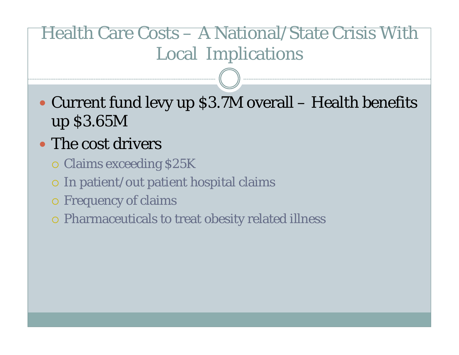- Current fund levy up \$3.7M overall Health benefits up \$3.65M
- The cost drivers
	- { Claims exceeding \$25K
	- { In patient/out patient hospital claims
	- { Frequency of claims
	- { Pharmaceuticals to treat obesity related illness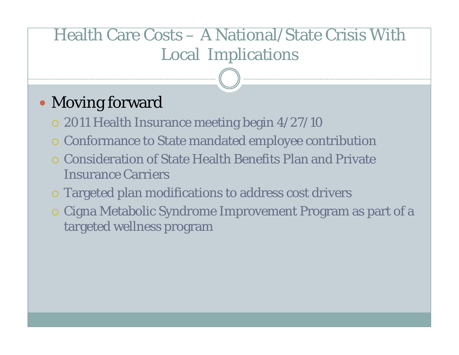#### • Moving forward

- $\,$  2011 Health Insurance meeting begin 4/27/10
- { Conformance to State mandated employee contribution
- **O** Consideration of State Health Benefits Plan and Private Insurance Carriers
- $\circ$  Targeted plan modifications to address cost drivers
- { Cigna Metabolic Syndrome Improvement Program as part of a targeted wellness program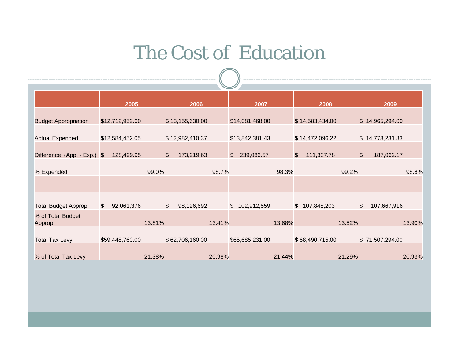### The Cost of Education

|                              | 2005                         |        | 2006                        |        | 2007                         |        | 2008                         | 2009                                  |        |
|------------------------------|------------------------------|--------|-----------------------------|--------|------------------------------|--------|------------------------------|---------------------------------------|--------|
| <b>Budget Appropriation</b>  | \$12,712,952.00              |        | \$13,155,630.00             |        | \$14,081,468.00              |        | \$14,583,434.00              | \$14,965,294.00                       |        |
| <b>Actual Expended</b>       | \$12,584,452.05              |        | \$12,982,410.37             |        | \$13,842,381.43              |        | \$14,472,096.22              | \$14,778,231.83                       |        |
| Difference (App. - Exp.) \$  | 128,499.95                   |        | $\sqrt{2}$<br>173,219.63    |        | 239,086.57<br>$\mathfrak{S}$ |        | 111,337.78<br>$\mathfrak{S}$ | $\sqrt[6]{\frac{1}{2}}$<br>187,062.17 |        |
| % Expended                   |                              | 99.0%  |                             | 98.7%  |                              | 98.3%  | 99.2%                        |                                       | 98.8%  |
|                              |                              |        |                             |        |                              |        |                              |                                       |        |
| <b>Total Budget Approp.</b>  | 92,061,376<br>$\mathfrak{S}$ |        | $\frac{1}{2}$<br>98,126,692 |        | \$102,912,559                |        | \$107,848,203                | \$<br>107,667,916                     |        |
| % of Total Budget<br>Approp. |                              | 13.81% |                             | 13.41% |                              | 13.68% | 13.52%                       |                                       | 13.90% |
| <b>Total Tax Levy</b>        | \$59,448,760.00              |        | \$62,706,160.00             |        | \$65,685,231.00              |        | \$68,490,715.00              | \$71,507,294.00                       |        |
| % of Total Tax Levy          |                              | 21.38% |                             | 20.98% |                              | 21.44% | 21.29%                       |                                       | 20.93% |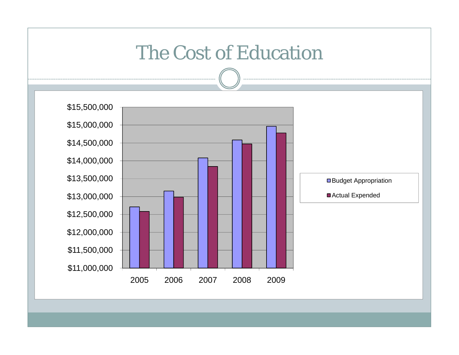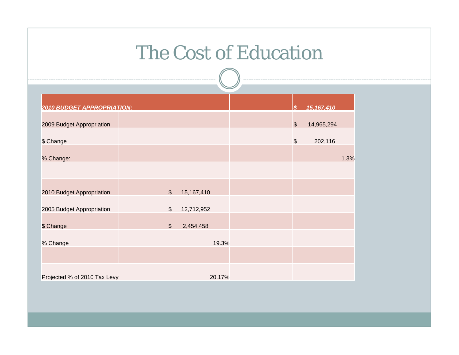### The Cost of Education

| <b>2010 BUDGET APPROPRIATION:</b> |                  |            |  | ድ                         | 15,167,410 |      |
|-----------------------------------|------------------|------------|--|---------------------------|------------|------|
| 2009 Budget Appropriation         |                  |            |  | $\boldsymbol{\mathsf{S}}$ | 14,965,294 |      |
| \$ Change                         |                  |            |  | \$                        | 202,116    |      |
| % Change:                         |                  |            |  |                           |            | 1.3% |
|                                   |                  |            |  |                           |            |      |
| 2010 Budget Appropriation         | $\sqrt{2}$       | 15,167,410 |  |                           |            |      |
|                                   |                  |            |  |                           |            |      |
| 2005 Budget Appropriation         | $$\mathfrak{F}$$ | 12,712,952 |  |                           |            |      |
| \$ Change                         | $\frac{1}{2}$    | 2,454,458  |  |                           |            |      |
| % Change                          |                  | 19.3%      |  |                           |            |      |
|                                   |                  |            |  |                           |            |      |
| Projected % of 2010 Tax Levy      |                  | 20.17%     |  |                           |            |      |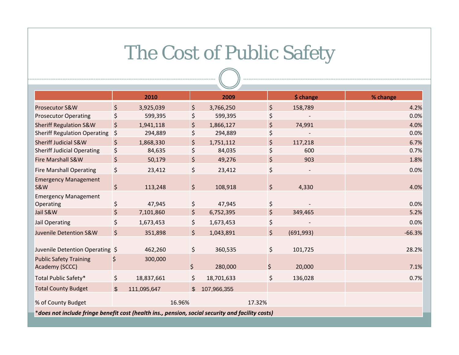# The Cost of Public Safety

|                                                                                                  |                | 2010        |        |                      | 2009        |        |    | \$ change  | % change |  |  |  |  |
|--------------------------------------------------------------------------------------------------|----------------|-------------|--------|----------------------|-------------|--------|----|------------|----------|--|--|--|--|
| Prosecutor S&W                                                                                   | $\zeta$        | 3,925,039   |        | \$                   | 3,766,250   |        | \$ | 158,789    | 4.2%     |  |  |  |  |
| <b>Prosecutor Operating</b>                                                                      | \$             | 599,395     |        | \$                   | 599,395     |        |    |            | 0.0%     |  |  |  |  |
| <b>Sheriff Regulation S&amp;W</b>                                                                | $\zeta$        | 1,941,118   |        | $\zeta$              | 1,866,127   |        | \$ | 74,991     | 4.0%     |  |  |  |  |
| <b>Sheriff Regulation Operating</b>                                                              | \$             | 294,889     |        | \$                   | 294,889     |        | \$ |            | 0.0%     |  |  |  |  |
| <b>Sheriff Judicial S&amp;W</b>                                                                  | $\zeta$        | 1,868,330   |        | \$                   | 1,751,112   |        | \$ | 117,218    | 6.7%     |  |  |  |  |
| <b>Sheriff Judicial Operating</b>                                                                | \$             | 84,635      |        | \$                   | 84,035      |        | \$ | 600        | 0.7%     |  |  |  |  |
| <b>Fire Marshall S&amp;W</b>                                                                     | $\zeta$        | 50,179      |        | \$                   | 49,276      |        | \$ | 903        | 1.8%     |  |  |  |  |
| <b>Fire Marshall Operating</b>                                                                   | $\zeta$        | 23,412      |        | \$                   | 23,412      |        | \$ |            | 0.0%     |  |  |  |  |
| <b>Emergency Management</b><br><b>S&amp;W</b>                                                    | \$             | 113,248     |        | $\zeta$              | 108,918     |        | \$ | 4,330      | 4.0%     |  |  |  |  |
| <b>Emergency Management</b>                                                                      |                |             |        |                      |             |        |    |            |          |  |  |  |  |
| Operating                                                                                        | \$             | 47,945      |        | \$                   | 47,945      |        | \$ |            | 0.0%     |  |  |  |  |
| Jail S&W                                                                                         | \$             | 7,101,860   |        | $\boldsymbol{\zeta}$ | 6,752,395   |        | \$ | 349,465    | 5.2%     |  |  |  |  |
| <b>Jail Operating</b>                                                                            | \$             | 1,673,453   |        | \$                   | 1,673,453   |        | \$ |            | 0.0%     |  |  |  |  |
| Juvenile Detention S&W                                                                           | \$             | 351,898     |        | $\zeta$              | 1,043,891   |        | \$ | (691, 993) | $-66.3%$ |  |  |  |  |
| Juvenile Detention Operating \$                                                                  |                | 462,260     |        | \$                   | 360,535     |        | \$ | 101,725    | 28.2%    |  |  |  |  |
| <b>Public Safety Training</b><br>Academy (SCCC)                                                  | Ş              | 300,000     |        | \$                   | 280,000     |        | \$ | 20,000     | 7.1%     |  |  |  |  |
| Total Public Safety*                                                                             | \$             | 18,837,661  |        | \$                   | 18,701,633  |        | \$ | 136,028    | 0.7%     |  |  |  |  |
| <b>Total County Budget</b>                                                                       | $\mathfrak{S}$ | 111,095,647 |        | \$                   | 107,966,355 |        |    |            |          |  |  |  |  |
| % of County Budget                                                                               |                |             | 16.96% |                      |             | 17.32% |    |            |          |  |  |  |  |
| *does not include fringe benefit cost (health ins., pension, social security and facility costs) |                |             |        |                      |             |        |    |            |          |  |  |  |  |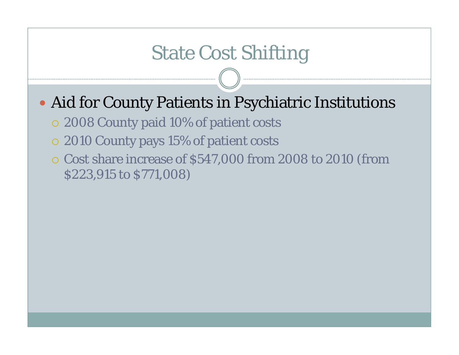### State Cost Shifting

- Aid for County Patients in Psychiatric Institutions
	- { 2008 County paid 10% of patient costs
	- { 2010 County pays 15% of patient costs
	- $\circ$  Cost share increase of \$547,000 from 2008 to 2010 (from \$223,915 to \$771,008)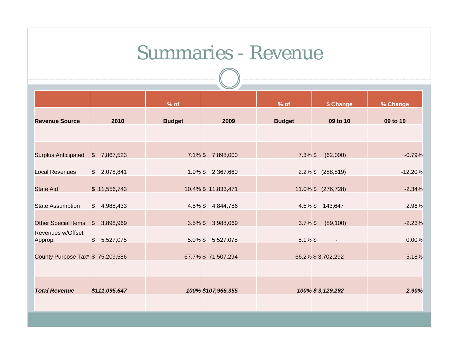#### Summaries - Revenue

|                                   |                         |               | $\overline{\phantom{a}}$ |               |                          |           |
|-----------------------------------|-------------------------|---------------|--------------------------|---------------|--------------------------|-----------|
|                                   |                         | $%$ of        |                          | $%$ of        | \$ Change                | % Change  |
| <b>Revenue Source</b>             | 2010                    | <b>Budget</b> | 2009                     | <b>Budget</b> | 09 to 10                 | 09 to 10  |
|                                   |                         |               |                          |               |                          |           |
| <b>Surplus Anticipated</b>        | 7,867,523<br>$\sqrt{3}$ |               | 7.1% \$7,898,000         | $7.3\%$ \$    | (62,000)                 | $-0.79%$  |
| <b>Local Revenues</b>             | \$2,078,841             |               | 1.9% \$2,367,660         |               | 2.2% \$ (288,819)        | $-12.20%$ |
| <b>State Aid</b>                  | \$11,556,743            |               | 10.4% \$11,833,471       |               | 11.0% \$ (276,728)       | $-2.34%$  |
| <b>State Assumption</b>           | \$4,988,433             |               | 4.5% \$4,844,786         |               | 4.5% \$143,647           | 2.96%     |
| Other Special Items \$            | 3,898,969               |               | 3.5% \$ 3,988,069        | $3.7\%$ \$    | (89, 100)                | $-2.23%$  |
| Revenues w/Offset<br>Approp.      | \$5,527,075             |               | 5.0% \$ 5,527,075        | $5.1\%$ \$    | $\overline{\phantom{a}}$ | 0.00%     |
| County Purpose Tax* \$ 75,209,586 |                         |               | 67.7% \$71,507,294       |               | 66.2% \$3,702,292        | 5.18%     |
|                                   |                         |               |                          |               |                          |           |
| <b>Total Revenue</b>              | \$111,095,647           |               | 100% \$107,966,355       |               | 100% \$3,129,292         | 2.90%     |
|                                   |                         |               |                          |               |                          |           |
|                                   |                         |               |                          |               |                          |           |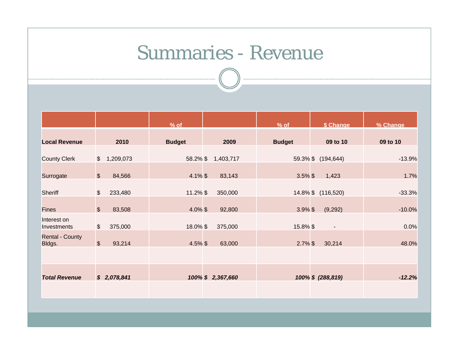#### Summaries - Revenue

|                                  |                            | $%$ of        |                  | $%$ of        | \$ Change          | % Change |
|----------------------------------|----------------------------|---------------|------------------|---------------|--------------------|----------|
| <b>Local Revenue</b>             | 2010                       | <b>Budget</b> | 2009             | <b>Budget</b> | 09 to 10           | 09 to 10 |
| <b>County Clerk</b>              | $\frac{1}{2}$<br>1,209,073 | 58.2% \$      | 1,403,717        |               | 59.3% \$ (194,644) | $-13.9%$ |
| Surrogate                        | $\frac{1}{2}$<br>84,566    | $4.1\%$ \$    | 83,143           | $3.5\%$ \$    | 1,423              | 1.7%     |
| Sheriff                          | $\frac{1}{2}$<br>233,480   | $11.2\%$ \$   | 350,000          |               | 14.8% \$ (116,520) | $-33.3%$ |
| <b>Fines</b>                     | $\mathfrak{S}$<br>83,508   | $4.0\%$ \$    | 92,800           | $3.9\%$ \$    | (9,292)            | $-10.0%$ |
| Interest on<br>Investments       | $\frac{1}{2}$<br>375,000   | 18.0% \$      | 375,000          | 15.8% \$      | $\blacksquare$     | 0.0%     |
| <b>Rental - County</b><br>Bldgs. | $\frac{1}{2}$<br>93,214    | $4.5\%$ \$    | 63,000           | $2.7\%$ \$    | 30,214             | 48.0%    |
|                                  |                            |               |                  |               |                    |          |
| <b>Total Revenue</b>             | \$2,078,841                |               | 100% \$2,367,660 |               | 100% \$ (288,819)  | $-12.2%$ |
|                                  |                            |               |                  |               |                    |          |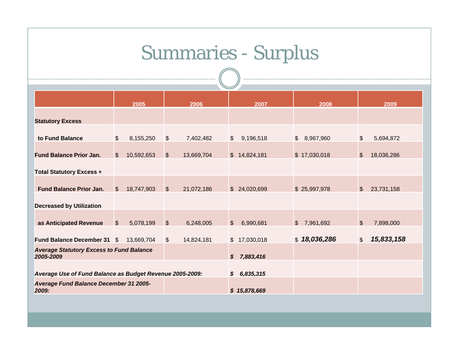# Summaries - Surplus

|                                                          |                | 2005       |                | 2006       |                  | 2007          | 2008                       |                           | 2009       |  |  |
|----------------------------------------------------------|----------------|------------|----------------|------------|------------------|---------------|----------------------------|---------------------------|------------|--|--|
|                                                          |                |            |                |            |                  |               |                            |                           |            |  |  |
| <b>Statutory Excess</b>                                  |                |            |                |            |                  |               |                            |                           |            |  |  |
|                                                          |                |            |                |            |                  |               |                            |                           |            |  |  |
| to Fund Balance                                          | $\mathfrak{S}$ | 8,155,250  | $\mathfrak{S}$ | 7,402,482  | $\mathfrak{S}$   | 9,196,518     | 8,967,960<br>$\mathcal{S}$ | \$                        | 5,694,872  |  |  |
|                                                          |                |            |                |            |                  |               |                            |                           |            |  |  |
| <b>Fund Balance Prior Jan.</b>                           | \$             | 10,592,653 | $\sqrt{3}$     | 13,669,704 |                  | \$14,824,181  | \$17,030,018               | $\$\$                     | 18,036,286 |  |  |
|                                                          |                |            |                |            |                  |               |                            |                           |            |  |  |
| <b>Total Statutory Excess +</b>                          |                |            |                |            |                  |               |                            |                           |            |  |  |
|                                                          |                |            |                |            |                  |               |                            |                           |            |  |  |
| <b>Fund Balance Prior Jan.</b>                           | $\mathbb{S}$   | 18,747,903 | $\mathfrak{S}$ | 21,072,186 |                  | \$ 24,020,699 | \$25,997,978               | $\mathcal{S}$             | 23,731,158 |  |  |
|                                                          |                |            |                |            |                  |               |                            |                           |            |  |  |
| <b>Decreased by Utilization</b>                          |                |            |                |            |                  |               |                            |                           |            |  |  |
|                                                          |                |            |                |            |                  |               |                            |                           |            |  |  |
| as Anticipated Revenue                                   | $\mathfrak{S}$ | 5,078,199  | $\sqrt{2}$     | 6,248,005  | $\mathbb{S}$     | 6,990,681     | 7,961,692<br>$\mathbb{S}$  | $\boldsymbol{\mathsf{S}}$ | 7,898,000  |  |  |
|                                                          |                |            |                |            |                  |               |                            |                           |            |  |  |
| <b>Fund Balance December 31 \$</b>                       |                | 13,669,704 | $\mathfrak{S}$ | 14,824,181 |                  | \$17,030,018  | \$18,036,286               | \$                        | 15,833,158 |  |  |
| <b>Average Statutory Excess to Fund Balance</b>          |                |            |                |            |                  |               |                            |                           |            |  |  |
| 2005-2009                                                |                |            |                |            | $\boldsymbol{s}$ | 7,883,416     |                            |                           |            |  |  |
| Average Use of Fund Balance as Budget Revenue 2005-2009: |                |            |                |            |                  |               |                            |                           |            |  |  |
|                                                          |                |            |                |            |                  | \$6,835,315   |                            |                           |            |  |  |
| Average Fund Balance December 31 2005-<br>2009:          |                |            |                |            | \$15,878,669     |               |                            |                           |            |  |  |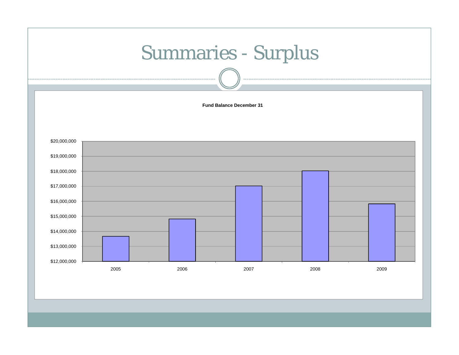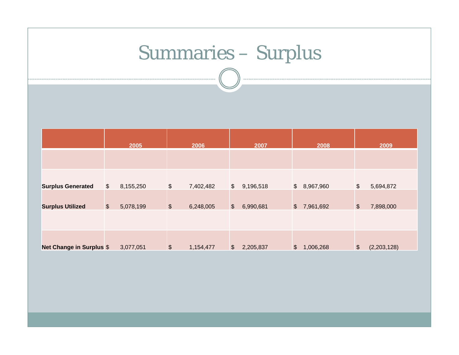# Summaries – Surplus

|                                 |                       | 2005      |               | 2006      |               | 2007      |               | 2008        |                            | 2009        |
|---------------------------------|-----------------------|-----------|---------------|-----------|---------------|-----------|---------------|-------------|----------------------------|-------------|
|                                 |                       |           |               |           |               |           |               |             |                            |             |
| <b>Surplus Generated</b>        | \$                    | 8,155,250 | $\frac{1}{2}$ | 7,402,482 | $\frac{1}{2}$ | 9,196,518 |               | \$8,967,960 | $\boldsymbol{\mathsf{\$}}$ | 5,694,872   |
| <b>Surplus Utilized</b>         | $\boldsymbol{\theta}$ | 5,078,199 | $\frac{1}{2}$ | 6,248,005 | $\frac{1}{2}$ | 6,990,681 |               | \$7,961,692 | $\boldsymbol{\theta}$      | 7,898,000   |
|                                 |                       |           |               |           |               |           |               |             |                            |             |
| <b>Net Change in Surplus \$</b> |                       | 3,077,051 | $\frac{3}{2}$ | 1,154,477 | $\frac{1}{2}$ | 2,205,837 | $\sqrt[6]{2}$ | 1,006,268   | $\boldsymbol{\theta}$      | (2,203,128) |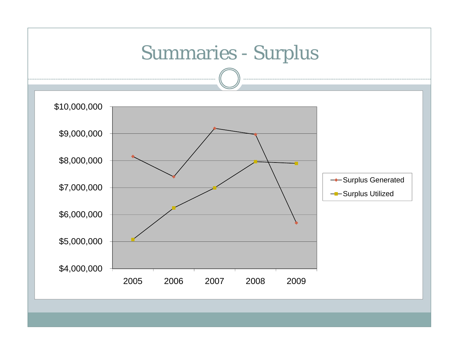